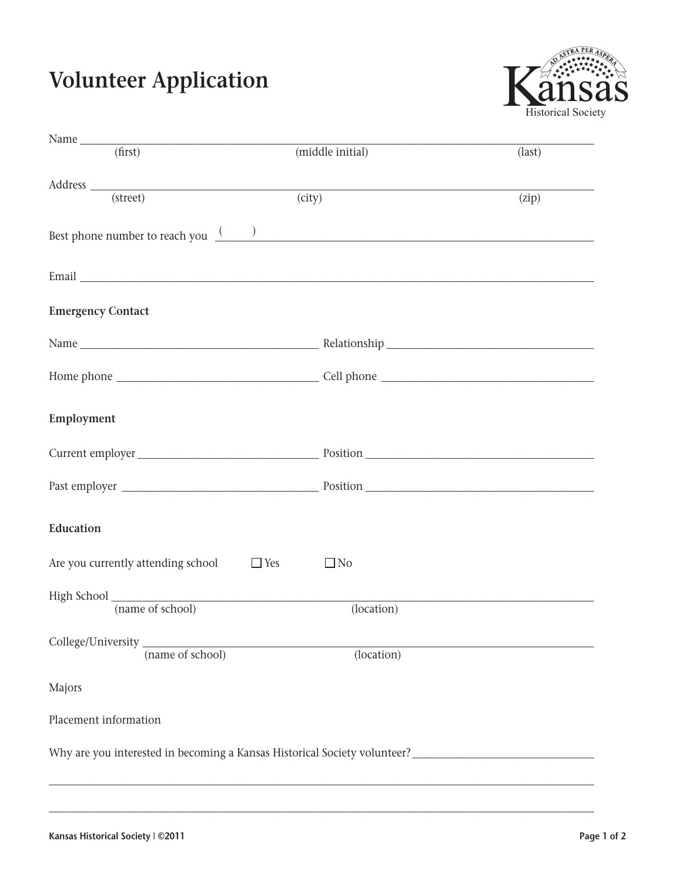## **Volunteer Application**



| Name $f(x)$ (first)                                                                                                                       | (middle initial) | $\text{(last)}$ |
|-------------------------------------------------------------------------------------------------------------------------------------------|------------------|-----------------|
|                                                                                                                                           |                  |                 |
| $\large \bf Address \begin{tabular}{c} \hspace{-0.1cm} \begin{tabular}{c} \includegraphics[width=0.3cm]{p^3} \end{tabular} \end{tabular}$ | (city)           | (zip)           |
|                                                                                                                                           |                  |                 |
| Best phone number to reach you $\frac{(x-1)(x-1)}{(x-1)(x-1)}$                                                                            |                  |                 |
|                                                                                                                                           |                  |                 |
|                                                                                                                                           |                  |                 |
|                                                                                                                                           |                  |                 |
|                                                                                                                                           |                  |                 |
| <b>Emergency Contact</b>                                                                                                                  |                  |                 |
|                                                                                                                                           |                  |                 |
|                                                                                                                                           |                  |                 |
|                                                                                                                                           |                  |                 |
|                                                                                                                                           |                  |                 |
| Employment                                                                                                                                |                  |                 |
|                                                                                                                                           |                  |                 |
|                                                                                                                                           |                  |                 |
|                                                                                                                                           |                  |                 |
|                                                                                                                                           |                  |                 |
|                                                                                                                                           |                  |                 |
| Education                                                                                                                                 |                  |                 |
|                                                                                                                                           |                  |                 |
| $\Box$ Yes<br>Are you currently attending school                                                                                          | $\Box$ No        |                 |
|                                                                                                                                           |                  |                 |
| High School (name of school)                                                                                                              | (location)       |                 |
|                                                                                                                                           |                  |                 |
| College/University (name of school)                                                                                                       |                  |                 |
|                                                                                                                                           | (location)       |                 |
|                                                                                                                                           |                  |                 |
| Majors                                                                                                                                    |                  |                 |
| Placement information                                                                                                                     |                  |                 |
|                                                                                                                                           |                  |                 |
|                                                                                                                                           |                  |                 |
|                                                                                                                                           |                  |                 |
|                                                                                                                                           |                  |                 |